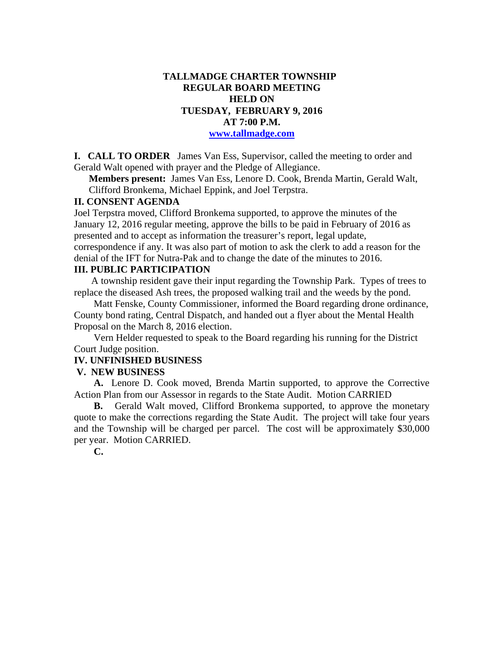# **TALLMADGE CHARTER TOWNSHIP REGULAR BOARD MEETING HELD ON TUESDAY, FEBRUARY 9, 2016 AT 7:00 P.M. www.tallmadge.com**

**I. CALL TO ORDER** James Van Ess, Supervisor, called the meeting to order and Gerald Walt opened with prayer and the Pledge of Allegiance.

**Members present:** James Van Ess, Lenore D. Cook, Brenda Martin, Gerald Walt, Clifford Bronkema, Michael Eppink, and Joel Terpstra.

# **II. CONSENT AGENDA**

Joel Terpstra moved, Clifford Bronkema supported, to approve the minutes of the January 12, 2016 regular meeting, approve the bills to be paid in February of 2016 as presented and to accept as information the treasurer's report, legal update, correspondence if any. It was also part of motion to ask the clerk to add a reason for the denial of the IFT for Nutra-Pak and to change the date of the minutes to 2016.

### **III. PUBLIC PARTICIPATION**

A township resident gave their input regarding the Township Park. Types of trees to replace the diseased Ash trees, the proposed walking trail and the weeds by the pond.

 Matt Fenske, County Commissioner, informed the Board regarding drone ordinance, County bond rating, Central Dispatch, and handed out a flyer about the Mental Health Proposal on the March 8, 2016 election.

 Vern Helder requested to speak to the Board regarding his running for the District Court Judge position.

## **IV. UNFINISHED BUSINESS**

#### **V. NEW BUSINESS**

 **A.** Lenore D. Cook moved, Brenda Martin supported, to approve the Corrective Action Plan from our Assessor in regards to the State Audit. Motion CARRIED

 **B.** Gerald Walt moved, Clifford Bronkema supported, to approve the monetary quote to make the corrections regarding the State Audit. The project will take four years and the Township will be charged per parcel. The cost will be approximately \$30,000 per year. Motion CARRIED.

 **C.**